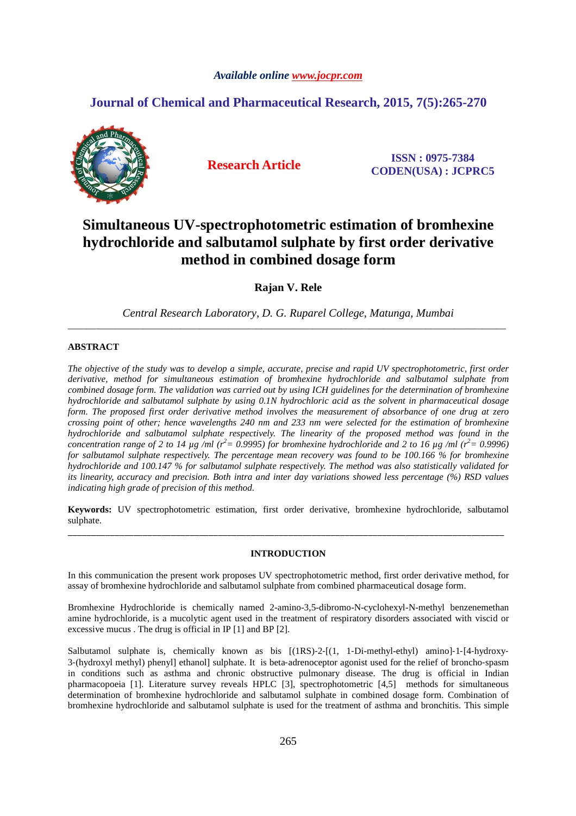## *Available online www.jocpr.com*

## **Journal of Chemical and Pharmaceutical Research, 2015, 7(5):265-270**



**Research Article ISSN : 0975-7384 CODEN(USA) : JCPRC5**

# **Simultaneous UV-spectrophotometric estimation of bromhexine hydrochloride and salbutamol sulphate by first order derivative method in combined dosage form**

**Rajan V. Rele** 

*Central Research Laboratory, D. G. Ruparel College, Matunga, Mumbai*  \_\_\_\_\_\_\_\_\_\_\_\_\_\_\_\_\_\_\_\_\_\_\_\_\_\_\_\_\_\_\_\_\_\_\_\_\_\_\_\_\_\_\_\_\_\_\_\_\_\_\_\_\_\_\_\_\_\_\_\_\_\_\_\_\_\_\_\_\_\_\_\_\_\_\_\_\_\_\_\_\_\_\_\_\_\_\_\_\_\_\_\_\_

## **ABSTRACT**

*The objective of the study was to develop a simple, accurate, precise and rapid UV spectrophotometric, first order derivative, method for simultaneous estimation of bromhexine hydrochloride and salbutamol sulphate from combined dosage form. The validation was carried out by using ICH guidelines for the determination of bromhexine hydrochloride and salbutamol sulphate by using 0.1N hydrochloric acid as the solvent in pharmaceutical dosage form. The proposed first order derivative method involves the measurement of absorbance of one drug at zero crossing point of other; hence wavelengths 240 nm and 233 nm were selected for the estimation of bromhexine hydrochloride and salbutamol sulphate respectively. The linearity of the proposed method was found in the concentration range of 2 to 14 µg /ml (r<sup>2</sup>* = 0.9995) for bromhexine hydrochloride and 2 to 16 µg /ml (r<sup>2</sup> = 0.9996) *for salbutamol sulphate respectively. The percentage mean recovery was found to be 100.166 % for bromhexine hydrochloride and 100.147 % for salbutamol sulphate respectively. The method was also statistically validated for its linearity, accuracy and precision. Both intra and inter day variations showed less percentage (%) RSD values indicating high grade of precision of this method.* 

**Keywords:** UV spectrophotometric estimation, first order derivative, bromhexine hydrochloride, salbutamol sulphate. \_\_\_\_\_\_\_\_\_\_\_\_\_\_\_\_\_\_\_\_\_\_\_\_\_\_\_\_\_\_\_\_\_\_\_\_\_\_\_\_\_\_\_\_\_\_\_\_\_\_\_\_\_\_\_\_\_\_\_\_\_\_\_\_\_\_\_\_\_\_\_\_\_\_\_\_\_\_\_\_\_\_\_\_\_\_\_\_\_\_\_\_\_

## **INTRODUCTION**

In this communication the present work proposes UV spectrophotometric method, first order derivative method, for assay of bromhexine hydrochloride and salbutamol sulphate from combined pharmaceutical dosage form.

Bromhexine Hydrochloride is chemically named 2-amino-3,5-dibromo-N-cyclohexyl-N-methyl benzenemethan amine hydrochloride, is a mucolytic agent used in the treatment of respiratory disorders associated with viscid or excessive mucus . The drug is official in IP [1] and BP [2].

Salbutamol sulphate is, chemically known as bis [(1RS)-2-[(1, 1-Di-methyl-ethyl) amino]-1-[4-hydroxy-3‐(hydroxyl methyl) phenyl] ethanol] sulphate. It is beta‐adrenoceptor agonist used for the relief of broncho‐spasm in conditions such as asthma and chronic obstructive pulmonary disease. The drug is official in Indian pharmacopoeia [1]. Literature survey reveals HPLC [3], spectrophotometric [4,5] methods for simultaneous determination of bromhexine hydrochloride and salbutamol sulphate in combined dosage form. Combination of bromhexine hydrochloride and salbutamol sulphate is used for the treatment of asthma and bronchitis. This simple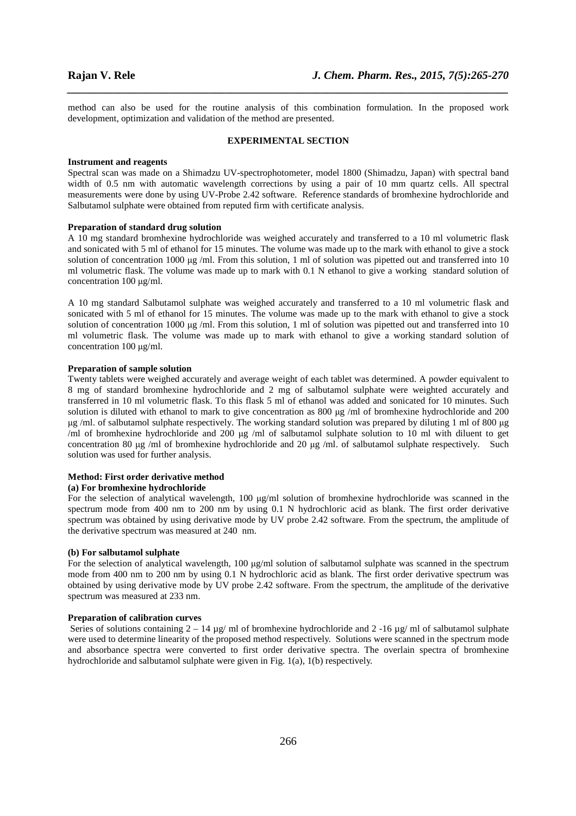method can also be used for the routine analysis of this combination formulation. In the proposed work development, optimization and validation of the method are presented.

*\_\_\_\_\_\_\_\_\_\_\_\_\_\_\_\_\_\_\_\_\_\_\_\_\_\_\_\_\_\_\_\_\_\_\_\_\_\_\_\_\_\_\_\_\_\_\_\_\_\_\_\_\_\_\_\_\_\_\_\_\_\_\_\_\_\_\_\_\_\_\_\_\_\_\_\_\_\_*

#### **EXPERIMENTAL SECTION**

#### **Instrument and reagents**

Spectral scan was made on a Shimadzu UV-spectrophotometer, model 1800 (Shimadzu, Japan) with spectral band width of 0.5 nm with automatic wavelength corrections by using a pair of 10 mm quartz cells. All spectral measurements were done by using UV-Probe 2.42 software. Reference standards of bromhexine hydrochloride and Salbutamol sulphate were obtained from reputed firm with certificate analysis.

#### **Preparation of standard drug solution**

A 10 mg standard bromhexine hydrochloride was weighed accurately and transferred to a 10 ml volumetric flask and sonicated with 5 ml of ethanol for 15 minutes. The volume was made up to the mark with ethanol to give a stock solution of concentration 1000  $\mu$ g /ml. From this solution, 1 ml of solution was pipetted out and transferred into 10 ml volumetric flask. The volume was made up to mark with 0.1 N ethanol to give a working standard solution of concentration 100 µg/ml.

A 10 mg standard Salbutamol sulphate was weighed accurately and transferred to a 10 ml volumetric flask and sonicated with 5 ml of ethanol for 15 minutes. The volume was made up to the mark with ethanol to give a stock solution of concentration 1000  $\mu$ g /ml. From this solution, 1 ml of solution was pipetted out and transferred into 10 ml volumetric flask. The volume was made up to mark with ethanol to give a working standard solution of concentration 100 µg/ml.

#### **Preparation of sample solution**

Twenty tablets were weighed accurately and average weight of each tablet was determined. A powder equivalent to 8 mg of standard bromhexine hydrochloride and 2 mg of salbutamol sulphate were weighted accurately and transferred in 10 ml volumetric flask. To this flask 5 ml of ethanol was added and sonicated for 10 minutes. Such solution is diluted with ethanol to mark to give concentration as 800 µg /ml of bromhexine hydrochloride and 200 µg /ml. of salbutamol sulphate respectively. The working standard solution was prepared by diluting 1 ml of 800 µg /ml of bromhexine hydrochloride and 200 µg /ml of salbutamol sulphate solution to 10 ml with diluent to get concentration 80 µg /ml of bromhexine hydrochloride and 20 µg /ml. of salbutamol sulphate respectively. Such solution was used for further analysis.

### **Method: First order derivative method**

## **(a) For bromhexine hydrochloride**

For the selection of analytical wavelength, 100 µg/ml solution of bromhexine hydrochloride was scanned in the spectrum mode from 400 nm to 200 nm by using 0.1 N hydrochloric acid as blank. The first order derivative spectrum was obtained by using derivative mode by UV probe 2.42 software. From the spectrum, the amplitude of the derivative spectrum was measured at 240 nm.

#### **(b) For salbutamol sulphate**

For the selection of analytical wavelength, 100 µg/ml solution of salbutamol sulphate was scanned in the spectrum mode from 400 nm to 200 nm by using 0.1 N hydrochloric acid as blank. The first order derivative spectrum was obtained by using derivative mode by UV probe 2.42 software. From the spectrum, the amplitude of the derivative spectrum was measured at 233 nm.

#### **Preparation of calibration curves**

Series of solutions containing  $2 - 14 \mu g/m$  of bromhexine hydrochloride and  $2 - 16 \mu g/m$  of salbutamol sulphate were used to determine linearity of the proposed method respectively. Solutions were scanned in the spectrum mode and absorbance spectra were converted to first order derivative spectra. The overlain spectra of bromhexine hydrochloride and salbutamol sulphate were given in Fig. 1(a), 1(b) respectively.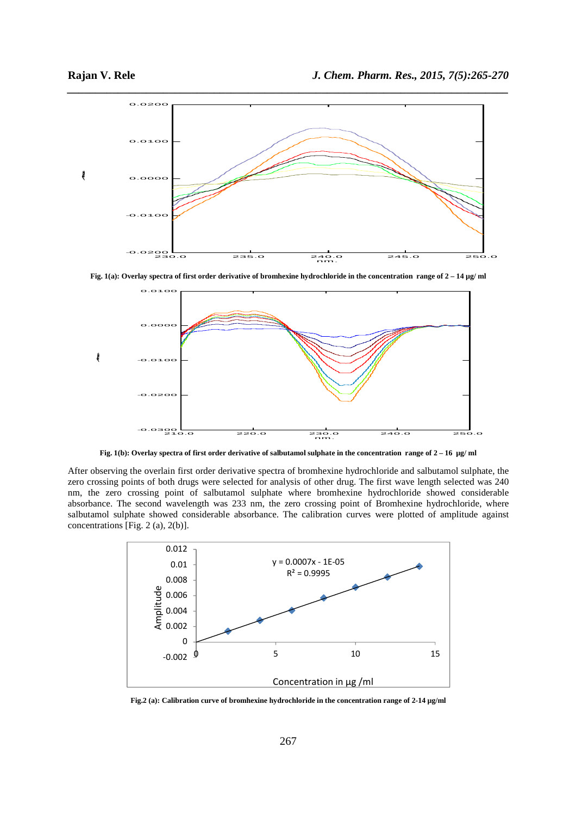

**Fig. 1(a): Overlay spectra of first order derivative of bromhexine hydrochloride in the concentration range of 2 – 14 µg/ ml** 



**Fig. 1(b): Overlay spectra of first order derivative of salbutamol sulphate in the concentration range of 2 – 16 µg/ ml** 

After observing the overlain first order derivative spectra of bromhexine hydrochloride and salbutamol sulphate, the zero crossing points of both drugs were selected for analysis of other drug. The first wave length selected was 240 nm, the zero crossing point of salbutamol sulphate where bromhexine hydrochloride showed considerable absorbance. The second wavelength was 233 nm, the zero crossing point of Bromhexine hydrochloride, where salbutamol sulphate showed considerable absorbance. The calibration curves were plotted of amplitude against concentrations [Fig. 2 (a), 2(b)].



**Fig.2 (a): Calibration curve of bromhexine hydrochloride in the concentration range of 2-14 µg/ml**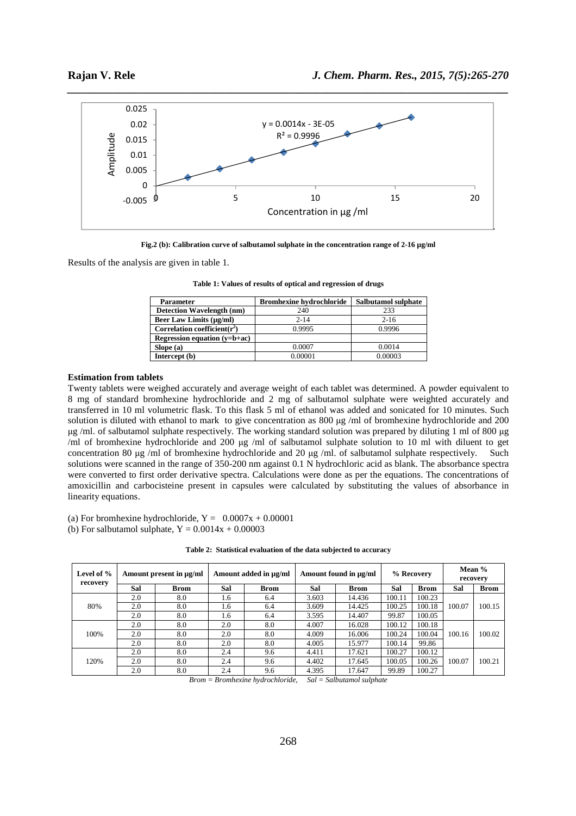

**Fig.2 (b): Calibration curve of salbutamol sulphate in the concentration range of 2-16 µg/ml** 

Results of the analysis are given in table 1.

| <b>Parameter</b>                 | <b>Bromhexine hydrochloride</b> | Salbutamol sulphate |
|----------------------------------|---------------------------------|---------------------|
| Detection Wavelength (nm)        | 240                             | 233                 |
| <b>Beer Law Limits (µg/ml)</b>   | $2 - 14$                        | $2 - 16$            |
| Correlation coefficient( $r^2$ ) | 0.9995                          | 0.9996              |
| Regression equation $(v=b+ac)$   |                                 |                     |
| Slope(a)                         | 0.0007                          | 0.0014              |
| Intercept (b)                    | 0.00001                         | 0.00003             |

**Table 1: Values of results of optical and regression of drugs** 

#### **Estimation from tablets**

Twenty tablets were weighed accurately and average weight of each tablet was determined. A powder equivalent to 8 mg of standard bromhexine hydrochloride and 2 mg of salbutamol sulphate were weighted accurately and transferred in 10 ml volumetric flask. To this flask 5 ml of ethanol was added and sonicated for 10 minutes. Such solution is diluted with ethanol to mark to give concentration as 800 µg /ml of bromhexine hydrochloride and 200 µg /ml. of salbutamol sulphate respectively. The working standard solution was prepared by diluting 1 ml of 800 µg /ml of bromhexine hydrochloride and 200 µg /ml of salbutamol sulphate solution to 10 ml with diluent to get concentration 80 µg /ml of bromhexine hydrochloride and 20 µg /ml. of salbutamol sulphate respectively. Such solutions were scanned in the range of 350-200 nm against 0.1 N hydrochloric acid as blank. The absorbance spectra were converted to first order derivative spectra. Calculations were done as per the equations. The concentrations of amoxicillin and carbocisteine present in capsules were calculated by substituting the values of absorbance in linearity equations.

(a) For bromhexine hydrochloride,  $Y = 0.0007x + 0.00001$ 

(b) For salbutamol sulphate,  $Y = 0.0014x + 0.00003$ 

| Level of %<br>recovery | Amount present in $\mu\alpha/ml$ |             | Amount added in µg/ml |             | Amount found in µg/ml |             | % Recovery |             | Mean %<br>recovery |             |
|------------------------|----------------------------------|-------------|-----------------------|-------------|-----------------------|-------------|------------|-------------|--------------------|-------------|
|                        | Sal                              | <b>Brom</b> | Sal                   | <b>Brom</b> | Sal                   | <b>Brom</b> | Sal        | <b>Brom</b> | Sal                | <b>Brom</b> |
| 80%                    | 2.0                              | 8.0         | 1.6                   | 6.4         | 3.603                 | 14.436      | 100.11     | 100.23      | 100.07             |             |
|                        | 2.0                              | 8.0         | 1.6                   | 6.4         | 3.609                 | 14.425      | 100.25     | 100.18      |                    | 100.15      |
|                        | 2.0                              | 8.0         | 1.6                   | 6.4         | 3.595                 | 14.407      | 99.87      | 100.05      |                    |             |
| 100%                   | 2.0                              | 8.0         | 2.0                   | 8.0         | 4.007                 | 16.028      | 100.12     | 100.18      |                    |             |
|                        | 2.0                              | 8.0         | 2.0                   | 8.0         | 4.009                 | 16.006      | 100.24     | 100.04      | 100.16             | 100.02      |
|                        | 2.0                              | 8.0         | 2.0                   | 8.0         | 4.005                 | 15.977      | 100.14     | 99.86       |                    |             |
| 120%                   | 2.0                              | 8.0         | 2.4                   | 9.6         | 4.411                 | 17.621      | 100.27     | 100.12      |                    |             |
|                        | 2.0                              | 8.0         | 2.4                   | 9.6         | 4.402                 | 17.645      | 100.05     | 100.26      | 100.07             | 100.21      |
|                        | 2.0                              | 8.0         | 2.4                   | 9.6         | 4.395                 | 17.647      | 99.89      | 100.27      |                    |             |

*Brom = Bromhexine hydrochloride, Sal = Salbutamol sulphate*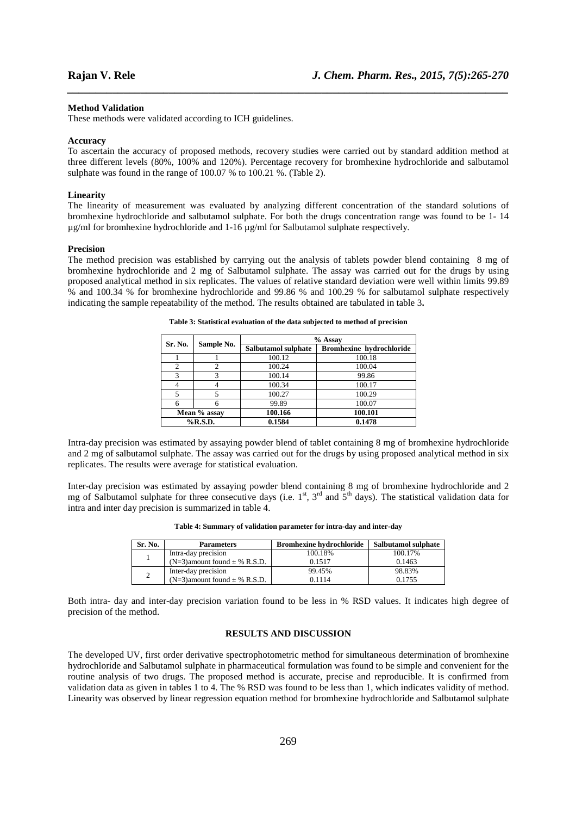#### **Method Validation**

These methods were validated according to ICH guidelines.

#### **Accuracy**

To ascertain the accuracy of proposed methods, recovery studies were carried out by standard addition method at three different levels (80%, 100% and 120%). Percentage recovery for bromhexine hydrochloride and salbutamol sulphate was found in the range of 100.07 % to 100.21 %. (Table 2).

*\_\_\_\_\_\_\_\_\_\_\_\_\_\_\_\_\_\_\_\_\_\_\_\_\_\_\_\_\_\_\_\_\_\_\_\_\_\_\_\_\_\_\_\_\_\_\_\_\_\_\_\_\_\_\_\_\_\_\_\_\_\_\_\_\_\_\_\_\_\_\_\_\_\_\_\_\_\_*

#### **Linearity**

The linearity of measurement was evaluated by analyzing different concentration of the standard solutions of bromhexine hydrochloride and salbutamol sulphate. For both the drugs concentration range was found to be 1- 14 µg/ml for bromhexine hydrochloride and 1-16 µg/ml for Salbutamol sulphate respectively.

#### **Precision**

The method precision was established by carrying out the analysis of tablets powder blend containing 8 mg of bromhexine hydrochloride and 2 mg of Salbutamol sulphate. The assay was carried out for the drugs by using proposed analytical method in six replicates. The values of relative standard deviation were well within limits 99.89 % and 100.34 % for bromhexine hydrochloride and 99.86 % and 100.29 % for salbutamol sulphate respectively indicating the sample repeatability of the method. The results obtained are tabulated in table 3**.** 

| Sr. No. | Sample No.   | % Assay             |                                 |  |  |
|---------|--------------|---------------------|---------------------------------|--|--|
|         |              | Salbutamol sulphate | <b>Bromhexine hydrochloride</b> |  |  |
|         |              | 100.12              | 100.18                          |  |  |
| 2       | 2            | 100.24              | 100.04                          |  |  |
| 3       | 3            | 100.14              | 99.86                           |  |  |
| 4       |              | 100.34              | 100.17                          |  |  |
| 5       |              | 100.27              | 100.29                          |  |  |
| 6       | 6            | 99.89               | 100.07                          |  |  |
|         | Mean % assay | 100.166             | 100.101                         |  |  |
|         | $%$ R.S.D.   | 0.1584              | 0.1478                          |  |  |

**Table 3: Statistical evaluation of the data subjected to method of precision** 

Intra-day precision was estimated by assaying powder blend of tablet containing 8 mg of bromhexine hydrochloride and 2 mg of salbutamol sulphate. The assay was carried out for the drugs by using proposed analytical method in six replicates. The results were average for statistical evaluation.

Inter-day precision was estimated by assaying powder blend containing 8 mg of bromhexine hydrochloride and 2 mg of Salbutamol sulphate for three consecutive days (i.e.  $1^{st}$ ,  $3^{rd}$  and  $5^{th}$  days). The statistical validation data for intra and inter day precision is summarized in table 4.

| Table 4: Summary of validation parameter for intra-day and inter-day |  |  |  |  |
|----------------------------------------------------------------------|--|--|--|--|
|----------------------------------------------------------------------|--|--|--|--|

| Sr. No. | <b>Parameters</b>                   | <b>Bromhexine hydrochloride</b> | Salbutamol sulphate |
|---------|-------------------------------------|---------------------------------|---------------------|
|         | Intra-day precision                 | 100.18%                         | 100.17%             |
|         | $(N=3)$ amount found $\pm$ % R.S.D. | 0.1517                          | 0.1463              |
|         | Inter-day precision                 | 99.45%                          | 98.83%              |
|         | $(N=3)$ amount found $\pm$ % R.S.D. | 0.1114                          | 0.1755              |

Both intra- day and inter-day precision variation found to be less in % RSD values. It indicates high degree of precision of the method.

## **RESULTS AND DISCUSSION**

The developed UV, first order derivative spectrophotometric method for simultaneous determination of bromhexine hydrochloride and Salbutamol sulphate in pharmaceutical formulation was found to be simple and convenient for the routine analysis of two drugs. The proposed method is accurate, precise and reproducible. It is confirmed from validation data as given in tables 1 to 4. The % RSD was found to be less than 1, which indicates validity of method. Linearity was observed by linear regression equation method for bromhexine hydrochloride and Salbutamol sulphate